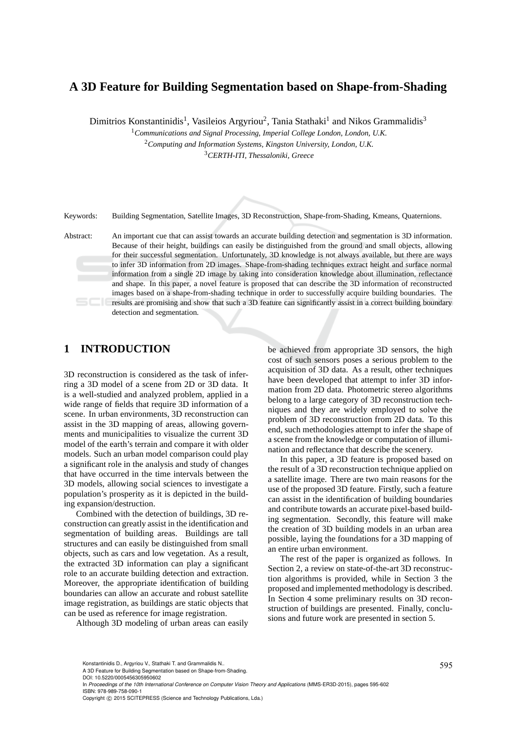# **A 3D Feature for Building Segmentation based on Shape-from-Shading**

Dimitrios Konstantinidis<sup>1</sup>, Vasileios Argyriou<sup>2</sup>, Tania Stathaki<sup>1</sup> and Nikos Grammalidis<sup>3</sup>

<sup>1</sup>*Communications and Signal Processing, Imperial College London, London, U.K.* <sup>2</sup>*Computing and Information Systems, Kingston University, London, U.K.*

<sup>3</sup>*CERTH-ITI, Thessaloniki, Greece*

Keywords: Building Segmentation, Satellite Images, 3D Reconstruction, Shape-from-Shading, Kmeans, Quaternions.

Abstract: An important cue that can assist towards an accurate building detection and segmentation is 3D information. Because of their height, buildings can easily be distinguished from the ground and small objects, allowing for their successful segmentation. Unfortunately, 3D knowledge is not always available, but there are ways to infer 3D information from 2D images. Shape-from-shading techniques extract height and surface normal information from a single 2D image by taking into consideration knowledge about illumination, reflectance and shape. In this paper, a novel feature is proposed that can describe the 3D information of reconstructed images based on a shape-from-shading technique in order to successfully acquire building boundaries. The results are promising and show that such a 3D feature can significantly assist in a correct building boundary detection and segmentation.

# **1 INTRODUCTION**

3D reconstruction is considered as the task of inferring a 3D model of a scene from 2D or 3D data. It is a well-studied and analyzed problem, applied in a wide range of fields that require 3D information of a scene. In urban environments, 3D reconstruction can assist in the 3D mapping of areas, allowing governments and municipalities to visualize the current 3D model of the earth's terrain and compare it with older models. Such an urban model comparison could play a significant role in the analysis and study of changes that have occurred in the time intervals between the 3D models, allowing social sciences to investigate a population's prosperity as it is depicted in the building expansion/destruction.

Combined with the detection of buildings, 3D reconstruction can greatly assist in the identification and segmentation of building areas. Buildings are tall structures and can easily be distinguished from small objects, such as cars and low vegetation. As a result, the extracted 3D information can play a significant role to an accurate building detection and extraction. Moreover, the appropriate identification of building boundaries can allow an accurate and robust satellite image registration, as buildings are static objects that can be used as reference for image registration.

Although 3D modeling of urban areas can easily

be achieved from appropriate 3D sensors, the high cost of such sensors poses a serious problem to the acquisition of 3D data. As a result, other techniques have been developed that attempt to infer 3D information from 2D data. Photometric stereo algorithms belong to a large category of 3D reconstruction techniques and they are widely employed to solve the problem of 3D reconstruction from 2D data. To this end, such methodologies attempt to infer the shape of a scene from the knowledge or computation of illumination and reflectance that describe the scenery.

In this paper, a 3D feature is proposed based on the result of a 3D reconstruction technique applied on a satellite image. There are two main reasons for the use of the proposed 3D feature. Firstly, such a feature can assist in the identification of building boundaries and contribute towards an accurate pixel-based building segmentation. Secondly, this feature will make the creation of 3D building models in an urban area possible, laying the foundations for a 3D mapping of an entire urban environment.

The rest of the paper is organized as follows. In Section 2, a review on state-of-the-art 3D reconstruction algorithms is provided, while in Section 3 the proposed and implemented methodology is described. In Section 4 some preliminary results on 3D reconstruction of buildings are presented. Finally, conclusions and future work are presented in section 5.

Konstantinidis D., Argyriou V., Stathaki T. and Grammalidis N..<br>A 3D Feature for Building Segmentation based on Shape-from-Shading.

DOI: 10.5220/0005456305950602

In *Proceedings of the 10th International Conference on Computer Vision Theory and Applications* (MMS-ER3D-2015), pages 595-602 ISBN: 978-989-758-090-1

Copyright (C) 2015 SCITEPRESS (Science and Technology Publications, Lda.)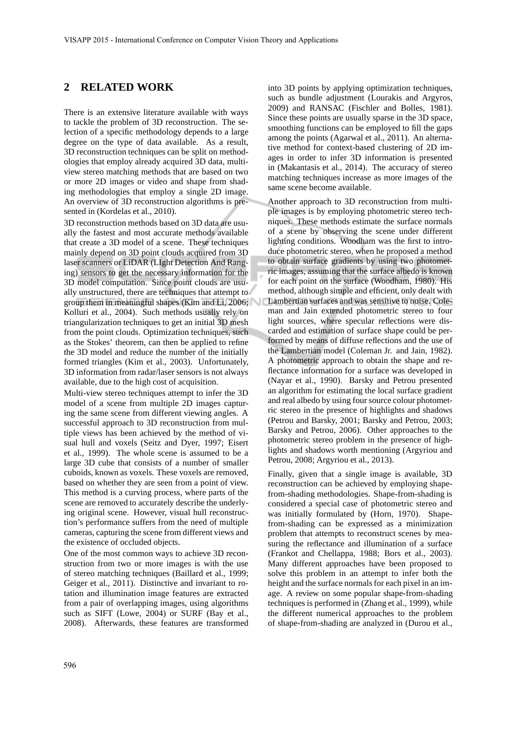### **2 RELATED WORK**

There is an extensive literature available with ways to tackle the problem of 3D reconstruction. The selection of a specific methodology depends to a large degree on the type of data available. As a result, 3D reconstruction techniques can be split on methodologies that employ already acquired 3D data, multiview stereo matching methods that are based on two or more 2D images or video and shape from shading methodologies that employ a single 2D image. An overview of 3D reconstruction algorithms is presented in (Kordelas et al., 2010).

3D reconstruction methods based on 3D data are usually the fastest and most accurate methods available that create a 3D model of a scene. These techniques mainly depend on 3D point clouds acquired from 3D laser scanners or LiDAR (LIght Detection And Ranging) sensors to get the necessary information for the 3D model computation. Since point clouds are usually unstructured, there are techniques that attempt to group them in meaningful shapes (Kim and Li, 2006; Kolluri et al., 2004). Such methods usually rely on triangularization techniques to get an initial 3D mesh from the point clouds. Optimization techniques, such as the Stokes' theorem, can then be applied to refine the 3D model and reduce the number of the initially formed triangles (Kim et al., 2003). Unfortunately, 3D information from radar/laser sensors is not always available, due to the high cost of acquisition.

Multi-view stereo techniques attempt to infer the 3D model of a scene from multiple 2D images capturing the same scene from different viewing angles. A successful approach to 3D reconstruction from multiple views has been achieved by the method of visual hull and voxels (Seitz and Dyer, 1997; Eisert et al., 1999). The whole scene is assumed to be a large 3D cube that consists of a number of smaller cuboids, known as voxels. These voxels are removed, based on whether they are seen from a point of view. This method is a curving process, where parts of the scene are removed to accurately describe the underlying original scene. However, visual hull reconstruction's performance suffers from the need of multiple cameras, capturing the scene from different views and the existence of occluded objects.

One of the most common ways to achieve 3D reconstruction from two or more images is with the use of stereo matching techniques (Baillard et al., 1999; Geiger et al., 2011). Distinctive and invariant to rotation and illumination image features are extracted from a pair of overlapping images, using algorithms such as SIFT (Lowe, 2004) or SURF (Bay et al., 2008). Afterwards, these features are transformed into 3D points by applying optimization techniques, such as bundle adjustment (Lourakis and Argyros, 2009) and RANSAC (Fischler and Bolles, 1981). Since these points are usually sparse in the 3D space, smoothing functions can be employed to fill the gaps among the points (Agarwal et al., 2011). An alternative method for context-based clustering of 2D images in order to infer 3D information is presented in (Makantasis et al., 2014). The accuracy of stereo matching techniques increase as more images of the same scene become available.

Another approach to 3D reconstruction from multiple images is by employing photometric stereo techniques. These methods estimate the surface normals of a scene by observing the scene under different lighting conditions. Woodham was the first to introduce photometric stereo, when he proposed a method to obtain surface gradients by using two photometric images, assuming that the surface albedo is known for each point on the surface (Woodham, 1980). His method, although simple and efficient, only dealt with Lambertian surfaces and was sensitive to noise. Coleman and Jain extended photometric stereo to four light sources, where specular reflections were discarded and estimation of surface shape could be performed by means of diffuse reflections and the use of the Lambertian model (Coleman Jr. and Jain, 1982). A photometric approach to obtain the shape and reflectance information for a surface was developed in (Nayar et al., 1990). Barsky and Petrou presented an algorithm for estimating the local surface gradient and real albedo by using four source colour photometric stereo in the presence of highlights and shadows (Petrou and Barsky, 2001; Barsky and Petrou, 2003; Barsky and Petrou, 2006). Other approaches to the photometric stereo problem in the presence of highlights and shadows worth mentioning (Argyriou and Petrou, 2008; Argyriou et al., 2013).

Finally, given that a single image is available, 3D reconstruction can be achieved by employing shapefrom-shading methodologies. Shape-from-shading is considered a special case of photometric stereo and was initially formulated by (Horn, 1970). Shapefrom-shading can be expressed as a minimization problem that attempts to reconstruct scenes by measuring the reflectance and illumination of a surface (Frankot and Chellappa, 1988; Bors et al., 2003). Many different approaches have been proposed to solve this problem in an attempt to infer both the height and the surface normals for each pixel in an image. A review on some popular shape-from-shading techniques is performed in (Zhang et al., 1999), while the different numerical approaches to the problem of shape-from-shading are analyzed in (Durou et al.,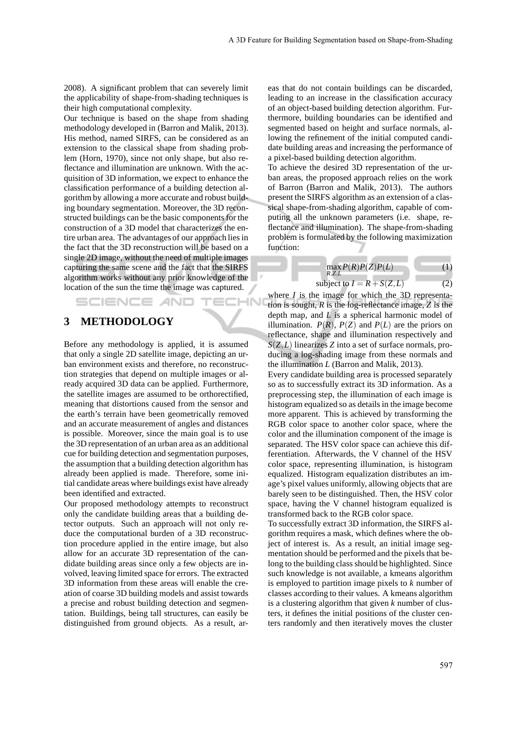2008). A significant problem that can severely limit the applicability of shape-from-shading techniques is their high computational complexity.

Our technique is based on the shape from shading methodology developed in (Barron and Malik, 2013). His method, named SIRFS, can be considered as an extension to the classical shape from shading problem (Horn, 1970), since not only shape, but also reflectance and illumination are unknown. With the acquisition of 3D information, we expect to enhance the classification performance of a building detection algorithm by allowing a more accurate and robust building boundary segmentation. Moreover, the 3D reconstructed buildings can be the basic components for the construction of a 3D model that characterizes the entire urban area. The advantages of our approach lies in the fact that the 3D reconstruction will be based on a single 2D image, without the need of multiple images capturing the same scene and the fact that the SIRFS algorithm works without any prior knowledge of the location of the sun the time the image was captured.

## **3 METHODOLOGY**

SCIENCE *A*ND

Before any methodology is applied, it is assumed that only a single 2D satellite image, depicting an urban environment exists and therefore, no reconstruction strategies that depend on multiple images or already acquired 3D data can be applied. Furthermore, the satellite images are assumed to be orthorectified, meaning that distortions caused from the sensor and the earth's terrain have been geometrically removed and an accurate measurement of angles and distances is possible. Moreover, since the main goal is to use the 3D representation of an urban area as an additional cue for building detection and segmentation purposes, the assumption that a building detection algorithm has already been applied is made. Therefore, some initial candidate areas where buildings exist have already been identified and extracted.

Our proposed methodology attempts to reconstruct only the candidate building areas that a building detector outputs. Such an approach will not only reduce the computational burden of a 3D reconstruction procedure applied in the entire image, but also allow for an accurate 3D representation of the candidate building areas since only a few objects are involved, leaving limited space for errors. The extracted 3D information from these areas will enable the creation of coarse 3D building models and assist towards a precise and robust building detection and segmentation. Buildings, being tall structures, can easily be distinguished from ground objects. As a result, areas that do not contain buildings can be discarded, leading to an increase in the classification accuracy of an object-based building detection algorithm. Furthermore, building boundaries can be identified and segmented based on height and surface normals, allowing the refinement of the initial computed candidate building areas and increasing the performance of a pixel-based building detection algorithm.

To achieve the desired 3D representation of the urban areas, the proposed approach relies on the work of Barron (Barron and Malik, 2013). The authors present the SIRFS algorithm as an extension of a classical shape-from-shading algorithm, capable of computing all the unknown parameters (i.e. shape, reflectance and illumination). The shape-from-shading problem is formulated by the following maximization function:

$$
\max_{R,Z,L} P(R)P(Z)P(L) \tag{1}
$$

subject to 
$$
I = R + S(Z, L)
$$
 (2)

where *I* is the image for which the 3D representation is sought, *R* is the log-reflectance image, *Z* is the depth map, and *L* is a spherical harmonic model of illumination.  $P(R)$ ,  $P(Z)$  and  $P(L)$  are the priors on reflectance, shape and illumination respectively and *S*(*Z*,*L*) linearizes *Z* into a set of surface normals, producing a log-shading image from these normals and the illumination *L* (Barron and Malik, 2013).

-IN

Every candidate building area is processed separately so as to successfully extract its 3D information. As a preprocessing step, the illumination of each image is histogram equalized so as details in the image become more apparent. This is achieved by transforming the RGB color space to another color space, where the color and the illumination component of the image is separated. The HSV color space can achieve this differentiation. Afterwards, the V channel of the HSV color space, representing illumination, is histogram equalized. Histogram equalization distributes an image's pixel values uniformly, allowing objects that are barely seen to be distinguished. Then, the HSV color space, having the V channel histogram equalized is transformed back to the RGB color space.

To successfully extract 3D information, the SIRFS algorithm requires a mask, which defines where the object of interest is. As a result, an initial image segmentation should be performed and the pixels that belong to the building class should be highlighted. Since such knowledge is not available, a kmeans algorithm is employed to partition image pixels to *k* number of classes according to their values. A kmeans algorithm is a clustering algorithm that given *k* number of clusters, it defines the initial positions of the cluster centers randomly and then iteratively moves the cluster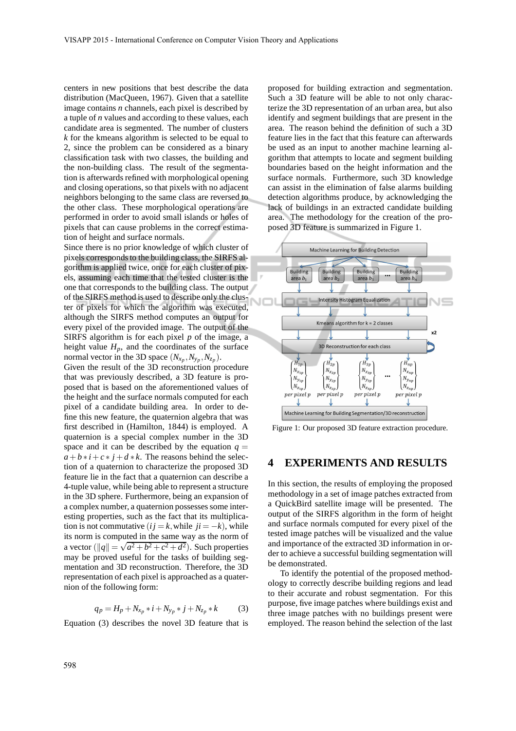centers in new positions that best describe the data distribution (MacQueen, 1967). Given that a satellite image contains *n* channels, each pixel is described by a tuple of *n* values and according to these values, each candidate area is segmented. The number of clusters *k* for the kmeans algorithm is selected to be equal to 2, since the problem can be considered as a binary classification task with two classes, the building and the non-building class. The result of the segmentation is afterwards refined with morphological opening and closing operations, so that pixels with no adjacent neighbors belonging to the same class are reversed to the other class. These morphological operations are performed in order to avoid small islands or holes of pixels that can cause problems in the correct estimation of height and surface normals.

Since there is no prior knowledge of which cluster of pixels corresponds to the building class, the SIRFS algorithm is applied twice, once for each cluster of pixels, assuming each time that the tested cluster is the one that corresponds to the building class. The output of the SIRFS method is used to describe only the cluster of pixels for which the algorithm was executed, although the SIRFS method computes an output for every pixel of the provided image. The output of the SIRFS algorithm is for each pixel *p* of the image, a height value  $H_p$ , and the coordinates of the surface normal vector in the 3D space  $(N_{x_p}, N_{y_p}, N_{z_p})$ .

Given the result of the 3D reconstruction procedure that was previously described, a 3D feature is proposed that is based on the aforementioned values of the height and the surface normals computed for each pixel of a candidate building area. In order to define this new feature, the quaternion algebra that was first described in (Hamilton, 1844) is employed. A quaternion is a special complex number in the 3D space and it can be described by the equation  $q =$  $a + b * i + c * j + d * k$ . The reasons behind the selection of a quaternion to characterize the proposed 3D feature lie in the fact that a quaternion can describe a 4-tuple value, while being able to represent a structure in the 3D sphere. Furthermore, being an expansion of a complex number, a quaternion possesses some interesting properties, such as the fact that its multiplication is not commutative  $(i j = k$ , while  $ji = -k$ ), while its norm is computed in the same way as the norm of a vector  $(||q|| = \sqrt{a^2 + b^2 + c^2 + d^2})$ . Such properties may be proved useful for the tasks of building segmentation and 3D reconstruction. Therefore, the 3D representation of each pixel is approached as a quaternion of the following form:

$$
q_p = H_p + N_{x_p} * i + N_{y_p} * j + N_{z_p} * k \tag{3}
$$

Equation (3) describes the novel 3D feature that is

proposed for building extraction and segmentation. Such a 3D feature will be able to not only characterize the 3D representation of an urban area, but also identify and segment buildings that are present in the area. The reason behind the definition of such a 3D feature lies in the fact that this feature can afterwards be used as an input to another machine learning algorithm that attempts to locate and segment building boundaries based on the height information and the surface normals. Furthermore, such 3D knowledge can assist in the elimination of false alarms building detection algorithms produce, by acknowledging the lack of buildings in an extracted candidate building area. The methodology for the creation of the proposed 3D feature is summarized in Figure 1.



Figure 1: Our proposed 3D feature extraction procedure.

#### **4 EXPERIMENTS AND RESULTS**

In this section, the results of employing the proposed methodology in a set of image patches extracted from a QuickBird satellite image will be presented. The output of the SIRFS algorithm in the form of height and surface normals computed for every pixel of the tested image patches will be visualized and the value and importance of the extracted 3D information in order to achieve a successful building segmentation will be demonstrated.

To identify the potential of the proposed methodology to correctly describe building regions and lead to their accurate and robust segmentation. For this purpose, five image patches where buildings exist and three image patches with no buildings present were employed. The reason behind the selection of the last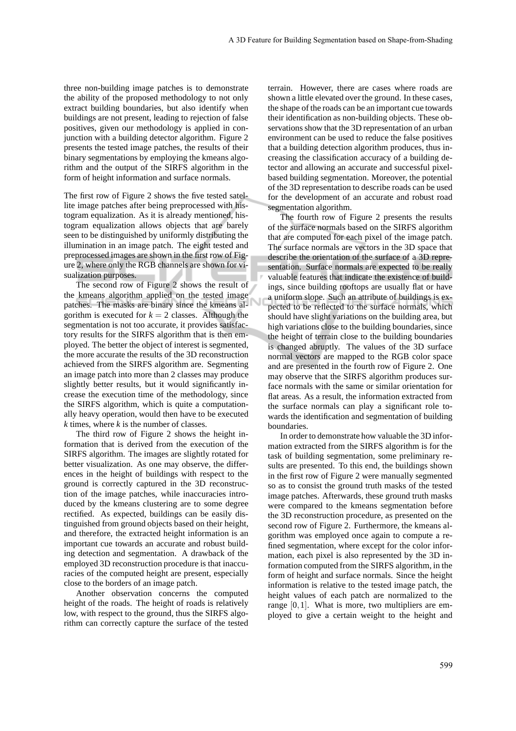three non-building image patches is to demonstrate the ability of the proposed methodology to not only extract building boundaries, but also identify when buildings are not present, leading to rejection of false positives, given our methodology is applied in conjunction with a building detector algorithm. Figure 2 presents the tested image patches, the results of their binary segmentations by employing the kmeans algorithm and the output of the SIRFS algorithm in the form of height information and surface normals.

The first row of Figure 2 shows the five tested satellite image patches after being preprocessed with histogram equalization. As it is already mentioned, histogram equalization allows objects that are barely seen to be distinguished by uniformly distributing the illumination in an image patch. The eight tested and preprocessed images are shown in the first row of Figure 2, where only the RGB channels are shown for visualization purposes.

The second row of Figure 2 shows the result of the kmeans algorithm applied on the tested image patches. The masks are binary since the kmeans algorithm is executed for  $k = 2$  classes. Although the segmentation is not too accurate, it provides satisfactory results for the SIRFS algorithm that is then employed. The better the object of interest is segmented, the more accurate the results of the 3D reconstruction achieved from the SIRFS algorithm are. Segmenting an image patch into more than 2 classes may produce slightly better results, but it would significantly increase the execution time of the methodology, since the SIRFS algorithm, which is quite a computationally heavy operation, would then have to be executed *k* times, where *k* is the number of classes.

The third row of Figure 2 shows the height information that is derived from the execution of the SIRFS algorithm. The images are slightly rotated for better visualization. As one may observe, the differences in the height of buildings with respect to the ground is correctly captured in the 3D reconstruction of the image patches, while inaccuracies introduced by the kmeans clustering are to some degree rectified. As expected, buildings can be easily distinguished from ground objects based on their height, and therefore, the extracted height information is an important cue towards an accurate and robust building detection and segmentation. A drawback of the employed 3D reconstruction procedure is that inaccuracies of the computed height are present, especially close to the borders of an image patch.

Another observation concerns the computed height of the roads. The height of roads is relatively low, with respect to the ground, thus the SIRFS algorithm can correctly capture the surface of the tested

terrain. However, there are cases where roads are shown a little elevated over the ground. In these cases, the shape of the roads can be an important cue towards their identification as non-building objects. These observations show that the 3D representation of an urban environment can be used to reduce the false positives that a building detection algorithm produces, thus increasing the classification accuracy of a building detector and allowing an accurate and successful pixelbased building segmentation. Moreover, the potential of the 3D representation to describe roads can be used for the development of an accurate and robust road segmentation algorithm.

The fourth row of Figure 2 presents the results of the surface normals based on the SIRFS algorithm that are computed for each pixel of the image patch. The surface normals are vectors in the 3D space that describe the orientation of the surface of a 3D representation. Surface normals are expected to be really valuable features that indicate the existence of buildings, since building rooftops are usually flat or have a uniform slope. Such an attribute of buildings is expected to be reflected to the surface normals, which should have slight variations on the building area, but high variations close to the building boundaries, since the height of terrain close to the building boundaries is changed abruptly. The values of the 3D surface normal vectors are mapped to the RGB color space and are presented in the fourth row of Figure 2. One may observe that the SIRFS algorithm produces surface normals with the same or similar orientation for flat areas. As a result, the information extracted from the surface normals can play a significant role towards the identification and segmentation of building boundaries.

In order to demonstrate how valuable the 3D information extracted from the SIRFS algorithm is for the task of building segmentation, some preliminary results are presented. To this end, the buildings shown in the first row of Figure 2 were manually segmented so as to consist the ground truth masks of the tested image patches. Afterwards, these ground truth masks were compared to the kmeans segmentation before the 3D reconstruction procedure, as presented on the second row of Figure 2. Furthermore, the kmeans algorithm was employed once again to compute a refined segmentation, where except for the color information, each pixel is also represented by the 3D information computed from the SIRFS algorithm, in the form of height and surface normals. Since the height information is relative to the tested image patch, the height values of each patch are normalized to the range [0,1]. What is more, two multipliers are employed to give a certain weight to the height and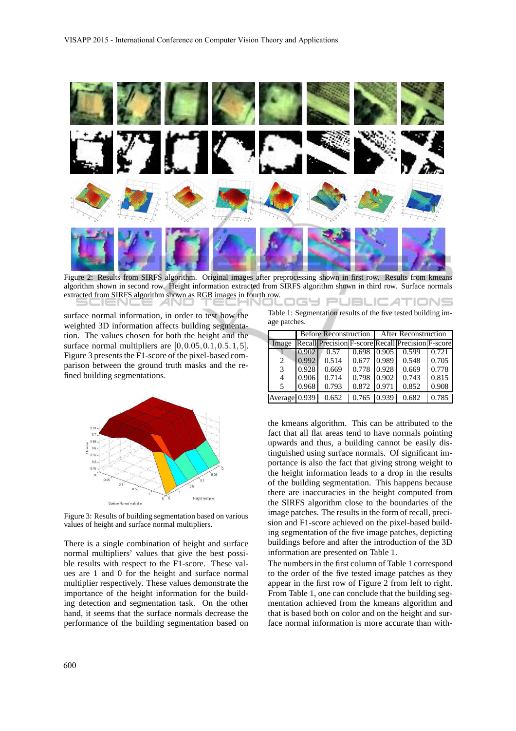

Figure 2: Results from SIRFS algorithm. Original images after preprocessing shown in first row. Results from kmeans algorithm shown in second row. Height information extracted from SIRFS algorithm shown in third row. Surface normals extracted from SIRFS algorithm shown as RGB images in fourth row. IGY PUBLIC*A*TIONS

surface normal information, in order to test how the weighted 3D information affects building segmentation. The values chosen for both the height and the surface normal multipliers are  $[0, 0.05, 0.1, 0.5, 1, 5]$ . Figure 3 presents the F1-score of the pixel-based comparison between the ground truth masks and the refined building segmentations.



Figure 3: Results of building segmentation based on various values of height and surface normal multipliers.

There is a single combination of height and surface normal multipliers' values that give the best possible results with respect to the F1-score. These values are 1 and 0 for the height and surface normal multiplier respectively. These values demonstrate the importance of the height information for the building detection and segmentation task. On the other hand, it seems that the surface normals decrease the performance of the building segmentation based on

Table 1: Segmentation results of the five tested building image patches.

|               | <b>Before Reconstruction</b> |                                                   |       | <b>After Reconstruction</b> |       |       |
|---------------|------------------------------|---------------------------------------------------|-------|-----------------------------|-------|-------|
| Image         |                              | Recall Precision F-score Recall Precision F-score |       |                             |       |       |
|               | 0.902                        | 0.57                                              | 0.698 | 0.905                       | 0.599 | 0.721 |
| 2             | 0.992                        | 0.514                                             | 0.677 | 0.989                       | 0.548 | 0.705 |
| 3             | 0.928                        | 0.669                                             | 0.778 | 0.928                       | 0.669 | 0.778 |
| 4             | 0.906                        | 0.714                                             | 0.798 | 0.902                       | 0.743 | 0.815 |
| 5             | 0.968                        | 0.793                                             | 0.872 | 0.971                       | 0.852 | 0.908 |
| Average 0.939 |                              | 0.652                                             | 0.765 | 0.939                       | 0.682 | 0.785 |

the kmeans algorithm. This can be attributed to the fact that all flat areas tend to have normals pointing upwards and thus, a building cannot be easily distinguished using surface normals. Of significant importance is also the fact that giving strong weight to the height information leads to a drop in the results of the building segmentation. This happens because there are inaccuracies in the height computed from the SIRFS algorithm close to the boundaries of the image patches. The results in the form of recall, precision and F1-score achieved on the pixel-based building segmentation of the five image patches, depicting buildings before and after the introduction of the 3D information are presented on Table 1.

The numbers in the first column of Table 1 correspond to the order of the five tested image patches as they appear in the first row of Figure 2 from left to right. From Table 1, one can conclude that the building segmentation achieved from the kmeans algorithm and that is based both on color and on the height and surface normal information is more accurate than with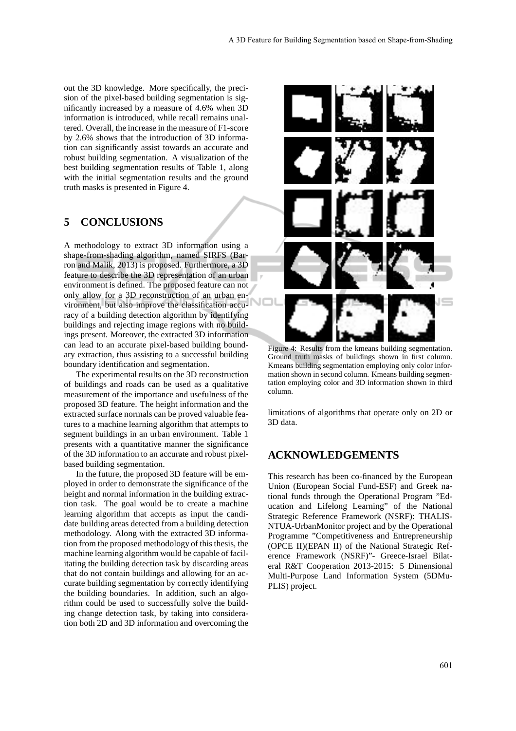out the 3D knowledge. More specifically, the precision of the pixel-based building segmentation is significantly increased by a measure of 4.6% when 3D information is introduced, while recall remains unaltered. Overall, the increase in the measure of F1-score by 2.6% shows that the introduction of 3D information can significantly assist towards an accurate and robust building segmentation. A visualization of the best building segmentation results of Table 1, along with the initial segmentation results and the ground truth masks is presented in Figure 4.

### **5 CONCLUSIONS**

A methodology to extract 3D information using a shape-from-shading algorithm, named SIRFS (Barron and Malik, 2013) is proposed. Furthermore, a 3D feature to describe the 3D representation of an urban environment is defined. The proposed feature can not only allow for a 3D reconstruction of an urban environment, but also improve the classification accuracy of a building detection algorithm by identifying buildings and rejecting image regions with no buildings present. Moreover, the extracted 3D information can lead to an accurate pixel-based building boundary extraction, thus assisting to a successful building boundary identification and segmentation.

The experimental results on the 3D reconstruction of buildings and roads can be used as a qualitative measurement of the importance and usefulness of the proposed 3D feature. The height information and the extracted surface normals can be proved valuable features to a machine learning algorithm that attempts to segment buildings in an urban environment. Table 1 presents with a quantitative manner the significance of the 3D information to an accurate and robust pixelbased building segmentation.

In the future, the proposed 3D feature will be employed in order to demonstrate the significance of the height and normal information in the building extraction task. The goal would be to create a machine learning algorithm that accepts as input the candidate building areas detected from a building detection methodology. Along with the extracted 3D information from the proposed methodology of this thesis, the machine learning algorithm would be capable of facilitating the building detection task by discarding areas that do not contain buildings and allowing for an accurate building segmentation by correctly identifying the building boundaries. In addition, such an algorithm could be used to successfully solve the building change detection task, by taking into consideration both 2D and 3D information and overcoming the



Figure 4: Results from the kmeans building segmentation. Ground truth masks of buildings shown in first column. Kmeans building segmentation employing only color information shown in second column. Kmeans building segmentation employing color and 3D information shown in third column.

limitations of algorithms that operate only on 2D or 3D data.

### **ACKNOWLEDGEMENTS**

This research has been co-financed by the European Union (European Social Fund-ESF) and Greek national funds through the Operational Program "Education and Lifelong Learning" of the National Strategic Reference Framework (NSRF): THALIS-NTUA-UrbanMonitor project and by the Operational Programme "Competitiveness and Entrepreneurship (OPCE II)(EPAN II) of the National Strategic Reference Framework (NSRF)"- Greece-Israel Bilateral R&T Cooperation 2013-2015: 5 Dimensional Multi-Purpose Land Information System (5DMu-PLIS) project.